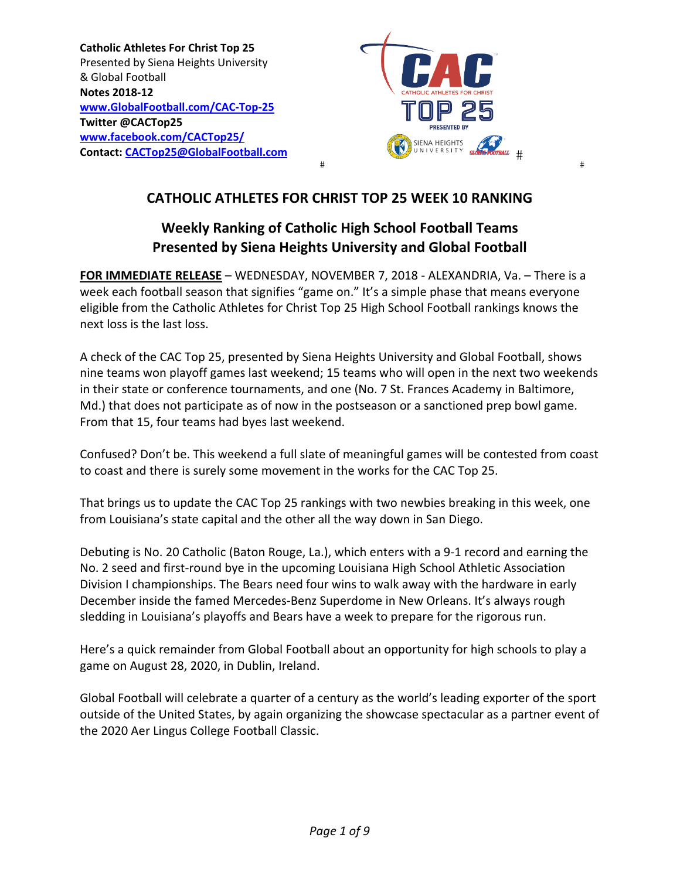**Catholic Athletes For Christ Top 25**  Presented by Siena Heights University & Global Football **Notes 2018‐12 www.GlobalFootball.com/CAC‐Top‐25 Twitter @CACTop25 www.facebook.com/CACTop25/ Contact: CACTop25@GlobalFootball.com** 



## **CATHOLIC ATHLETES FOR CHRIST TOP 25 WEEK 10 RANKING**

## **Weekly Ranking of Catholic High School Football Teams Presented by Siena Heights University and Global Football**

**FOR IMMEDIATE RELEASE** – WEDNESDAY, NOVEMBER 7, 2018 ‐ ALEXANDRIA, Va. – There is a week each football season that signifies "game on." It's a simple phase that means everyone eligible from the Catholic Athletes for Christ Top 25 High School Football rankings knows the next loss is the last loss.

A check of the CAC Top 25, presented by Siena Heights University and Global Football, shows nine teams won playoff games last weekend; 15 teams who will open in the next two weekends in their state or conference tournaments, and one (No. 7 St. Frances Academy in Baltimore, Md.) that does not participate as of now in the postseason or a sanctioned prep bowl game. From that 15, four teams had byes last weekend.

Confused? Don't be. This weekend a full slate of meaningful games will be contested from coast to coast and there is surely some movement in the works for the CAC Top 25.

That brings us to update the CAC Top 25 rankings with two newbies breaking in this week, one from Louisiana's state capital and the other all the way down in San Diego.

Debuting is No. 20 Catholic (Baton Rouge, La.), which enters with a 9‐1 record and earning the No. 2 seed and first-round bye in the upcoming Louisiana High School Athletic Association Division I championships. The Bears need four wins to walk away with the hardware in early December inside the famed Mercedes-Benz Superdome in New Orleans. It's always rough sledding in Louisiana's playoffs and Bears have a week to prepare for the rigorous run.

Here's a quick remainder from Global Football about an opportunity for high schools to play a game on August 28, 2020, in Dublin, Ireland.

Global Football will celebrate a quarter of a century as the world's leading exporter of the sport outside of the United States, by again organizing the showcase spectacular as a partner event of the 2020 Aer Lingus College Football Classic.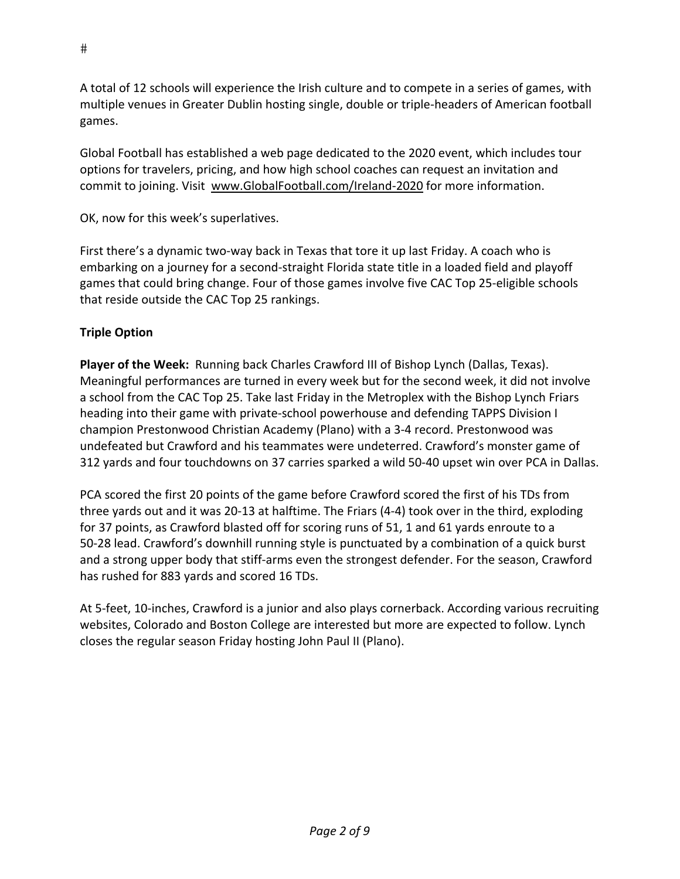A total of 12 schools will experience the Irish culture and to compete in a series of games, with multiple venues in Greater Dublin hosting single, double or triple‐headers of American football games.

Global Football has established a web page dedicated to the 2020 event, which includes tour options for travelers, pricing, and how high school coaches can request an invitation and commit to joining. Visit www.GlobalFootball.com/Ireland‐2020 for more information.

OK, now for this week's superlatives.

First there's a dynamic two‐way back in Texas that tore it up last Friday. A coach who is embarking on a journey for a second‐straight Florida state title in a loaded field and playoff games that could bring change. Four of those games involve five CAC Top 25‐eligible schools that reside outside the CAC Top 25 rankings.

#### **Triple Option**

**Player of the Week:** Running back Charles Crawford III of Bishop Lynch (Dallas, Texas). Meaningful performances are turned in every week but for the second week, it did not involve a school from the CAC Top 25. Take last Friday in the Metroplex with the Bishop Lynch Friars heading into their game with private‐school powerhouse and defending TAPPS Division I champion Prestonwood Christian Academy (Plano) with a 3‐4 record. Prestonwood was undefeated but Crawford and his teammates were undeterred. Crawford's monster game of 312 yards and four touchdowns on 37 carries sparked a wild 50‐40 upset win over PCA in Dallas.

PCA scored the first 20 points of the game before Crawford scored the first of his TDs from three yards out and it was 20‐13 at halftime. The Friars (4‐4) took over in the third, exploding for 37 points, as Crawford blasted off for scoring runs of 51, 1 and 61 yards enroute to a 50‐28 lead. Crawford's downhill running style is punctuated by a combination of a quick burst and a strong upper body that stiff-arms even the strongest defender. For the season, Crawford has rushed for 883 yards and scored 16 TDs.

At 5‐feet, 10‐inches, Crawford is a junior and also plays cornerback. According various recruiting websites, Colorado and Boston College are interested but more are expected to follow. Lynch closes the regular season Friday hosting John Paul II (Plano).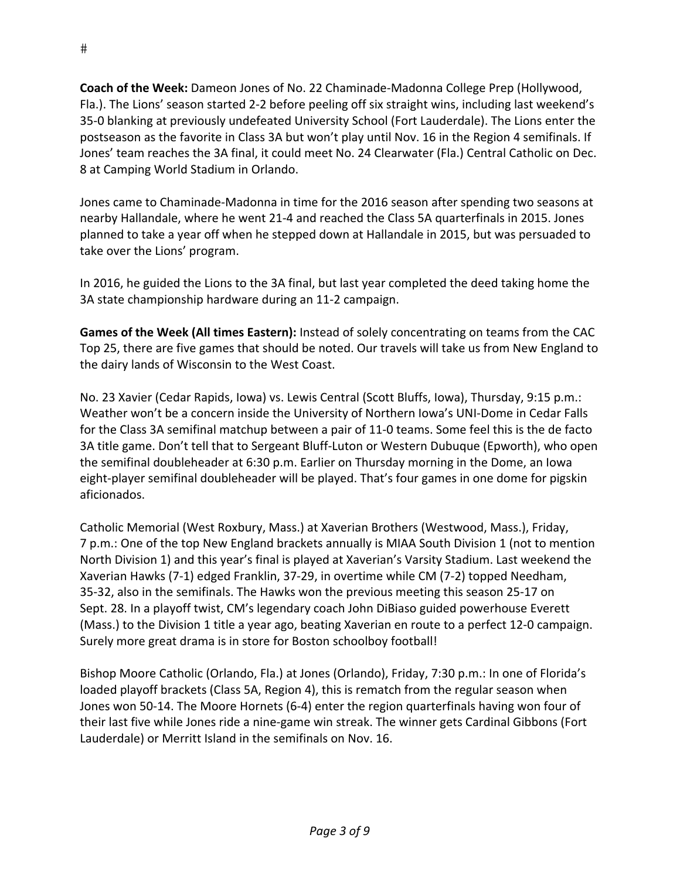**Coach of the Week:** Dameon Jones of No. 22 Chaminade‐Madonna College Prep (Hollywood, Fla.). The Lions' season started 2‐2 before peeling off six straight wins, including last weekend's 35‐0 blanking at previously undefeated University School (Fort Lauderdale). The Lions enter the postseason as the favorite in Class 3A but won't play until Nov. 16 in the Region 4 semifinals. If Jones' team reaches the 3A final, it could meet No. 24 Clearwater (Fla.) Central Catholic on Dec. 8 at Camping World Stadium in Orlando.

Jones came to Chaminade‐Madonna in time for the 2016 season after spending two seasons at nearby Hallandale, where he went 21‐4 and reached the Class 5A quarterfinals in 2015. Jones planned to take a year off when he stepped down at Hallandale in 2015, but was persuaded to take over the Lions' program.

In 2016, he guided the Lions to the 3A final, but last year completed the deed taking home the 3A state championship hardware during an 11‐2 campaign.

**Games of the Week (All times Eastern):** Instead of solely concentrating on teams from the CAC Top 25, there are five games that should be noted. Our travels will take us from New England to the dairy lands of Wisconsin to the West Coast.

No. 23 Xavier (Cedar Rapids, Iowa) vs. Lewis Central (Scott Bluffs, Iowa), Thursday, 9:15 p.m.: Weather won't be a concern inside the University of Northern Iowa's UNI‐Dome in Cedar Falls for the Class 3A semifinal matchup between a pair of 11‐0 teams. Some feel this is the de facto 3A title game. Don't tell that to Sergeant Bluff‐Luton or Western Dubuque (Epworth), who open the semifinal doubleheader at 6:30 p.m. Earlier on Thursday morning in the Dome, an Iowa eight-player semifinal doubleheader will be played. That's four games in one dome for pigskin aficionados.

Catholic Memorial (West Roxbury, Mass.) at Xaverian Brothers (Westwood, Mass.), Friday, 7 p.m.: One of the top New England brackets annually is MIAA South Division 1 (not to mention North Division 1) and this year's final is played at Xaverian's Varsity Stadium. Last weekend the Xaverian Hawks (7‐1) edged Franklin, 37‐29, in overtime while CM (7‐2) topped Needham, 35‐32, also in the semifinals. The Hawks won the previous meeting this season 25‐17 on Sept. 28. In a playoff twist, CM's legendary coach John DiBiaso guided powerhouse Everett (Mass.) to the Division 1 title a year ago, beating Xaverian en route to a perfect 12‐0 campaign. Surely more great drama is in store for Boston schoolboy football!

Bishop Moore Catholic (Orlando, Fla.) at Jones (Orlando), Friday, 7:30 p.m.: In one of Florida's loaded playoff brackets (Class 5A, Region 4), this is rematch from the regular season when Jones won 50‐14. The Moore Hornets (6‐4) enter the region quarterfinals having won four of their last five while Jones ride a nine‐game win streak. The winner gets Cardinal Gibbons (Fort Lauderdale) or Merritt Island in the semifinals on Nov. 16.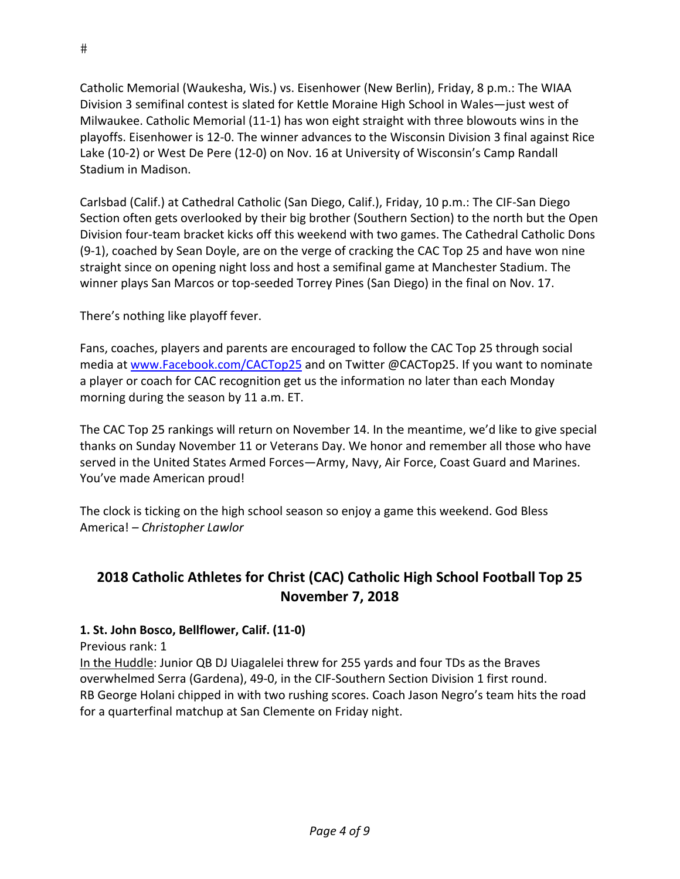Catholic Memorial (Waukesha, Wis.) vs. Eisenhower (New Berlin), Friday, 8 p.m.: The WIAA Division 3 semifinal contest is slated for Kettle Moraine High School in Wales—just west of Milwaukee. Catholic Memorial (11‐1) has won eight straight with three blowouts wins in the playoffs. Eisenhower is 12‐0. The winner advances to the Wisconsin Division 3 final against Rice Lake (10‐2) or West De Pere (12‐0) on Nov. 16 at University of Wisconsin's Camp Randall Stadium in Madison.

Carlsbad (Calif.) at Cathedral Catholic (San Diego, Calif.), Friday, 10 p.m.: The CIF‐San Diego Section often gets overlooked by their big brother (Southern Section) to the north but the Open Division four‐team bracket kicks off this weekend with two games. The Cathedral Catholic Dons (9‐1), coached by Sean Doyle, are on the verge of cracking the CAC Top 25 and have won nine straight since on opening night loss and host a semifinal game at Manchester Stadium. The winner plays San Marcos or top-seeded Torrey Pines (San Diego) in the final on Nov. 17.

There's nothing like playoff fever.

Fans, coaches, players and parents are encouraged to follow the CAC Top 25 through social media at www.Facebook.com/CACTop25 and on Twitter @CACTop25. If you want to nominate a player or coach for CAC recognition get us the information no later than each Monday morning during the season by 11 a.m. ET.

The CAC Top 25 rankings will return on November 14. In the meantime, we'd like to give special thanks on Sunday November 11 or Veterans Day. We honor and remember all those who have served in the United States Armed Forces—Army, Navy, Air Force, Coast Guard and Marines. You've made American proud!

The clock is ticking on the high school season so enjoy a game this weekend. God Bless America! *– Christopher Lawlor*

## **2018 Catholic Athletes for Christ (CAC) Catholic High School Football Top 25 November 7, 2018**

#### **1. St. John Bosco, Bellflower, Calif. (11‐0)**

Previous rank: 1

In the Huddle: Junior QB DJ Uiagalelei threw for 255 yards and four TDs as the Braves overwhelmed Serra (Gardena), 49‐0, in the CIF‐Southern Section Division 1 first round. RB George Holani chipped in with two rushing scores. Coach Jason Negro's team hits the road for a quarterfinal matchup at San Clemente on Friday night.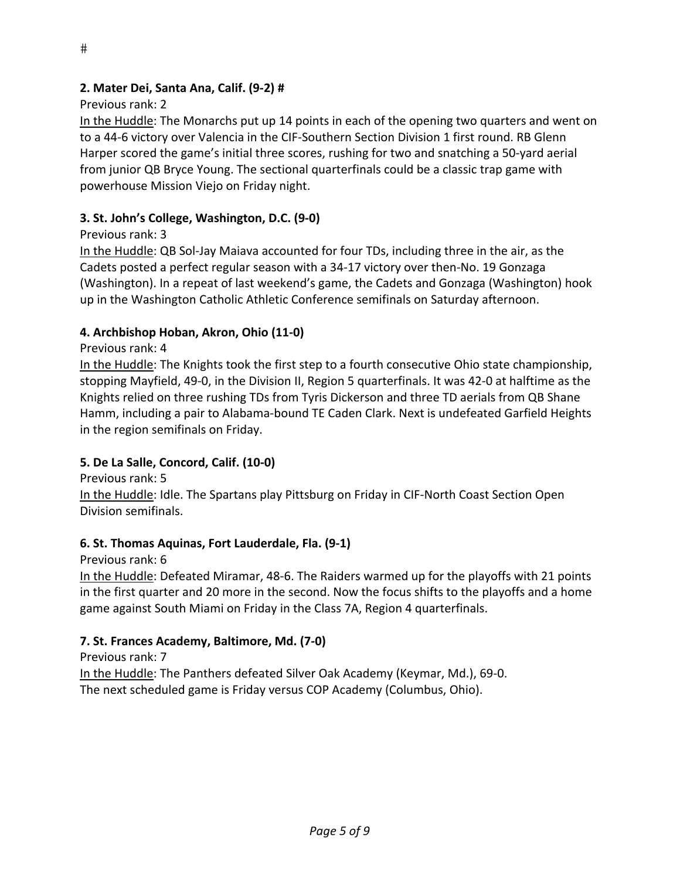## Previous rank: 2

In the Huddle: The Monarchs put up 14 points in each of the opening two quarters and went on to a 44‐6 victory over Valencia in the CIF‐Southern Section Division 1 first round. RB Glenn Harper scored the game's initial three scores, rushing for two and snatching a 50‐yard aerial from junior QB Bryce Young. The sectional quarterfinals could be a classic trap game with powerhouse Mission Viejo on Friday night.

# **3. St. John's College, Washington, D.C. (9‐0)**

# Previous rank: 3

In the Huddle: QB Sol‐Jay Maiava accounted for four TDs, including three in the air, as the Cadets posted a perfect regular season with a 34‐17 victory over then‐No. 19 Gonzaga (Washington). In a repeat of last weekend's game, the Cadets and Gonzaga (Washington) hook up in the Washington Catholic Athletic Conference semifinals on Saturday afternoon.

# **4. Archbishop Hoban, Akron, Ohio (11‐0)**

## Previous rank: 4

In the Huddle: The Knights took the first step to a fourth consecutive Ohio state championship, stopping Mayfield, 49‐0, in the Division II, Region 5 quarterfinals. It was 42‐0 at halftime as the Knights relied on three rushing TDs from Tyris Dickerson and three TD aerials from QB Shane Hamm, including a pair to Alabama‐bound TE Caden Clark. Next is undefeated Garfield Heights in the region semifinals on Friday.

## **5. De La Salle, Concord, Calif. (10‐0)**

Previous rank: 5

In the Huddle: Idle. The Spartans play Pittsburg on Friday in CIF‐North Coast Section Open Division semifinals.

## **6. St. Thomas Aquinas, Fort Lauderdale, Fla. (9‐1)**

Previous rank: 6

In the Huddle: Defeated Miramar, 48‐6. The Raiders warmed up for the playoffs with 21 points in the first quarter and 20 more in the second. Now the focus shifts to the playoffs and a home game against South Miami on Friday in the Class 7A, Region 4 quarterfinals.

## **7. St. Frances Academy, Baltimore, Md. (7‐0)**

Previous rank: 7

In the Huddle: The Panthers defeated Silver Oak Academy (Keymar, Md.), 69‐0. The next scheduled game is Friday versus COP Academy (Columbus, Ohio).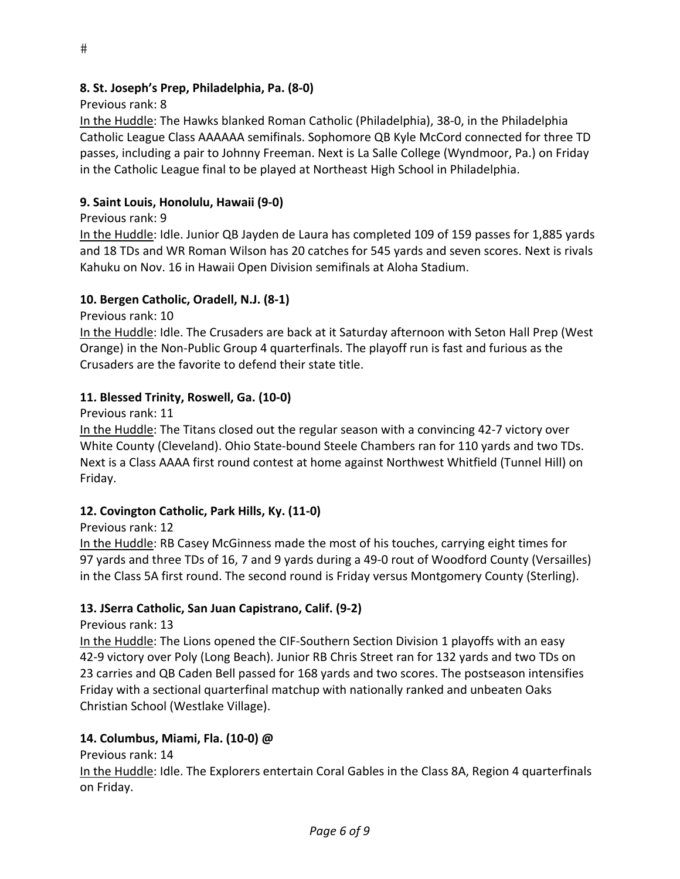### Previous rank: 8

In the Huddle: The Hawks blanked Roman Catholic (Philadelphia), 38‐0, in the Philadelphia Catholic League Class AAAAAA semifinals. Sophomore QB Kyle McCord connected for three TD passes, including a pair to Johnny Freeman. Next is La Salle College (Wyndmoor, Pa.) on Friday in the Catholic League final to be played at Northeast High School in Philadelphia.

### **9. Saint Louis, Honolulu, Hawaii (9‐0)**

Previous rank: 9

In the Huddle: Idle. Junior QB Jayden de Laura has completed 109 of 159 passes for 1,885 yards and 18 TDs and WR Roman Wilson has 20 catches for 545 yards and seven scores. Next is rivals Kahuku on Nov. 16 in Hawaii Open Division semifinals at Aloha Stadium.

## **10. Bergen Catholic, Oradell, N.J. (8‐1)**

Previous rank: 10

In the Huddle: Idle. The Crusaders are back at it Saturday afternoon with Seton Hall Prep (West Orange) in the Non‐Public Group 4 quarterfinals. The playoff run is fast and furious as the Crusaders are the favorite to defend their state title.

### **11. Blessed Trinity, Roswell, Ga. (10‐0)**

Previous rank: 11

In the Huddle: The Titans closed out the regular season with a convincing 42‐7 victory over White County (Cleveland). Ohio State‐bound Steele Chambers ran for 110 yards and two TDs. Next is a Class AAAA first round contest at home against Northwest Whitfield (Tunnel Hill) on Friday.

### **12. Covington Catholic, Park Hills, Ky. (11‐0)**

Previous rank: 12

In the Huddle: RB Casey McGinness made the most of his touches, carrying eight times for 97 yards and three TDs of 16, 7 and 9 yards during a 49‐0 rout of Woodford County (Versailles) in the Class 5A first round. The second round is Friday versus Montgomery County (Sterling).

### **13. JSerra Catholic, San Juan Capistrano, Calif. (9‐2)**

Previous rank: 13

In the Huddle: The Lions opened the CIF‐Southern Section Division 1 playoffs with an easy 42‐9 victory over Poly (Long Beach). Junior RB Chris Street ran for 132 yards and two TDs on 23 carries and QB Caden Bell passed for 168 yards and two scores. The postseason intensifies Friday with a sectional quarterfinal matchup with nationally ranked and unbeaten Oaks Christian School (Westlake Village).

### **14. Columbus, Miami, Fla. (10‐0) @**

Previous rank: 14

In the Huddle: Idle. The Explorers entertain Coral Gables in the Class 8A, Region 4 quarterfinals on Friday.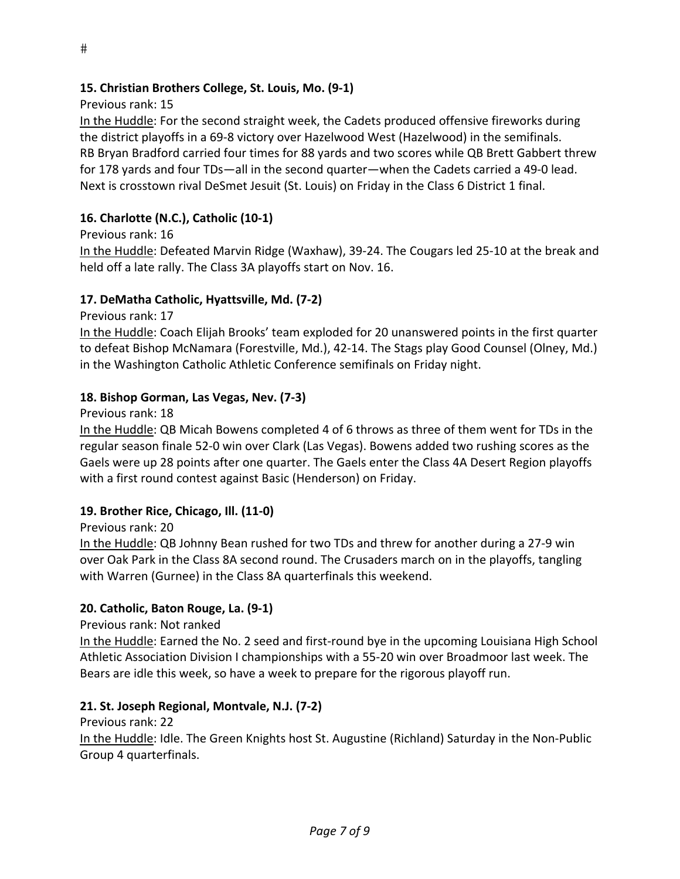Previous rank: 15

In the Huddle: For the second straight week, the Cadets produced offensive fireworks during the district playoffs in a 69‐8 victory over Hazelwood West (Hazelwood) in the semifinals. RB Bryan Bradford carried four times for 88 yards and two scores while QB Brett Gabbert threw for 178 yards and four TDs—all in the second quarter—when the Cadets carried a 49‐0 lead. Next is crosstown rival DeSmet Jesuit (St. Louis) on Friday in the Class 6 District 1 final.

## **16. Charlotte (N.C.), Catholic (10‐1)**

Previous rank: 16

In the Huddle: Defeated Marvin Ridge (Waxhaw), 39‐24. The Cougars led 25‐10 at the break and held off a late rally. The Class 3A playoffs start on Nov. 16.

### **17. DeMatha Catholic, Hyattsville, Md. (7‐2)**

Previous rank: 17

In the Huddle: Coach Elijah Brooks' team exploded for 20 unanswered points in the first quarter to defeat Bishop McNamara (Forestville, Md.), 42‐14. The Stags play Good Counsel (Olney, Md.) in the Washington Catholic Athletic Conference semifinals on Friday night.

#### **18. Bishop Gorman, Las Vegas, Nev. (7‐3)**

Previous rank: 18

In the Huddle: QB Micah Bowens completed 4 of 6 throws as three of them went for TDs in the regular season finale 52‐0 win over Clark (Las Vegas). Bowens added two rushing scores as the Gaels were up 28 points after one quarter. The Gaels enter the Class 4A Desert Region playoffs with a first round contest against Basic (Henderson) on Friday.

### **19. Brother Rice, Chicago, Ill. (11‐0)**

Previous rank: 20

In the Huddle: QB Johnny Bean rushed for two TDs and threw for another during a 27‐9 win over Oak Park in the Class 8A second round. The Crusaders march on in the playoffs, tangling with Warren (Gurnee) in the Class 8A quarterfinals this weekend.

### **20. Catholic, Baton Rouge, La. (9‐1)**

Previous rank: Not ranked

In the Huddle: Earned the No. 2 seed and first-round bye in the upcoming Louisiana High School Athletic Association Division I championships with a 55‐20 win over Broadmoor last week. The Bears are idle this week, so have a week to prepare for the rigorous playoff run.

### **21. St. Joseph Regional, Montvale, N.J. (7‐2)**

Previous rank: 22

In the Huddle: Idle. The Green Knights host St. Augustine (Richland) Saturday in the Non‐Public Group 4 quarterfinals.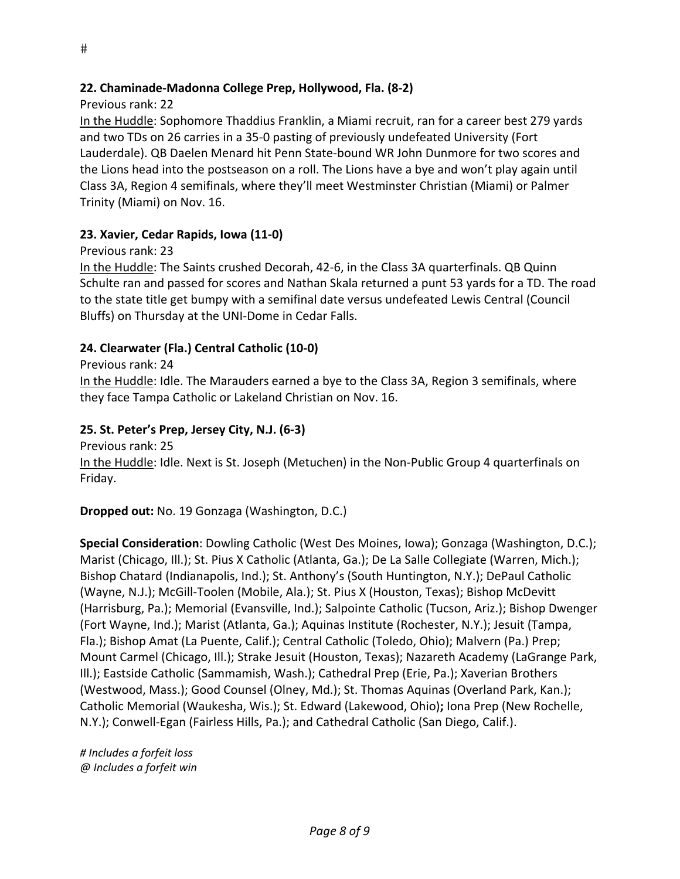#### **22. Chaminade‐Madonna College Prep, Hollywood, Fla. (8‐2)**

#### Previous rank: 22

In the Huddle: Sophomore Thaddius Franklin, a Miami recruit, ran for a career best 279 yards and two TDs on 26 carries in a 35‐0 pasting of previously undefeated University (Fort Lauderdale). QB Daelen Menard hit Penn State‐bound WR John Dunmore for two scores and the Lions head into the postseason on a roll. The Lions have a bye and won't play again until Class 3A, Region 4 semifinals, where they'll meet Westminster Christian (Miami) or Palmer Trinity (Miami) on Nov. 16.

#### **23. Xavier, Cedar Rapids, Iowa (11‐0)**

Previous rank: 23

In the Huddle: The Saints crushed Decorah, 42‐6, in the Class 3A quarterfinals. QB Quinn Schulte ran and passed for scores and Nathan Skala returned a punt 53 yards for a TD. The road to the state title get bumpy with a semifinal date versus undefeated Lewis Central (Council Bluffs) on Thursday at the UNI‐Dome in Cedar Falls.

#### **24. Clearwater (Fla.) Central Catholic (10‐0)**

Previous rank: 24

In the Huddle: Idle. The Marauders earned a bye to the Class 3A, Region 3 semifinals, where they face Tampa Catholic or Lakeland Christian on Nov. 16.

#### **25. St. Peter's Prep, Jersey City, N.J. (6‐3)**

Previous rank: 25

In the Huddle: Idle. Next is St. Joseph (Metuchen) in the Non‐Public Group 4 quarterfinals on Friday.

**Dropped out:** No. 19 Gonzaga (Washington, D.C.)

**Special Consideration**: Dowling Catholic (West Des Moines, Iowa); Gonzaga (Washington, D.C.); Marist (Chicago, Ill.); St. Pius X Catholic (Atlanta, Ga.); De La Salle Collegiate (Warren, Mich.); Bishop Chatard (Indianapolis, Ind.); St. Anthony's (South Huntington, N.Y.); DePaul Catholic (Wayne, N.J.); McGill‐Toolen (Mobile, Ala.); St. Pius X (Houston, Texas); Bishop McDevitt (Harrisburg, Pa.); Memorial (Evansville, Ind.); Salpointe Catholic (Tucson, Ariz.); Bishop Dwenger (Fort Wayne, Ind.); Marist (Atlanta, Ga.); Aquinas Institute (Rochester, N.Y.); Jesuit (Tampa, Fla.); Bishop Amat (La Puente, Calif.); Central Catholic (Toledo, Ohio); Malvern (Pa.) Prep; Mount Carmel (Chicago, Ill.); Strake Jesuit (Houston, Texas); Nazareth Academy (LaGrange Park, Ill.); Eastside Catholic (Sammamish, Wash.); Cathedral Prep (Erie, Pa.); Xaverian Brothers (Westwood, Mass.); Good Counsel (Olney, Md.); St. Thomas Aquinas (Overland Park, Kan.); Catholic Memorial (Waukesha, Wis.); St. Edward (Lakewood, Ohio)**;** Iona Prep (New Rochelle, N.Y.); Conwell‐Egan (Fairless Hills, Pa.); and Cathedral Catholic (San Diego, Calif.).

*# Includes a forfeit loss @ Includes a forfeit win*